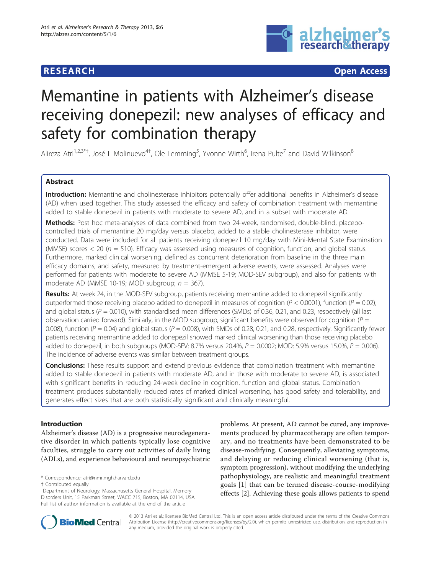

**RESEARCH CONSTRUCTION CONSTRUCTS** 

# Memantine in patients with Alzheimer's disease receiving donepezil: new analyses of efficacy and safety for combination therapy

Alireza Atri<sup>1,2,3\*†</sup>, José L Molinuevo<sup>4†</sup>, Ole Lemming<sup>5</sup>, Yvonne Wirth<sup>6</sup>, Irena Pulte<sup>7</sup> and David Wilkinson<sup>8</sup>

# Abstract

Introduction: Memantine and cholinesterase inhibitors potentially offer additional benefits in Alzheimer's disease (AD) when used together. This study assessed the efficacy and safety of combination treatment with memantine added to stable donepezil in patients with moderate to severe AD, and in a subset with moderate AD.

Methods: Post hoc meta-analyses of data combined from two 24-week, randomised, double-blind, placebocontrolled trials of memantine 20 mg/day versus placebo, added to a stable cholinesterase inhibitor, were conducted. Data were included for all patients receiving donepezil 10 mg/day with Mini-Mental State Examination (MMSE) scores  $<$  20 ( $n = 510$ ). Efficacy was assessed using measures of cognition, function, and global status. Furthermore, marked clinical worsening, defined as concurrent deterioration from baseline in the three main efficacy domains, and safety, measured by treatment-emergent adverse events, were assessed. Analyses were performed for patients with moderate to severe AD (MMSE 5-19; MOD-SEV subgroup), and also for patients with moderate AD (MMSE 10-19; MOD subgroup;  $n = 367$ ).

Results: At week 24, in the MOD-SEV subgroup, patients receiving memantine added to donepezil significantly outperformed those receiving placebo added to donepezil in measures of cognition ( $P < 0.0001$ ), function ( $P = 0.02$ ), and global status ( $P = 0.010$ ), with standardised mean differences (SMDs) of 0.36, 0.21, and 0.23, respectively (all last observation carried forward). Similarly, in the MOD subgroup, significant benefits were observed for cognition ( $P =$ 0.008), function ( $P = 0.04$ ) and global status ( $P = 0.008$ ), with SMDs of 0.28, 0.21, and 0.28, respectively. Significantly fewer patients receiving memantine added to donepezil showed marked clinical worsening than those receiving placebo added to donepezil, in both subgroups (MOD-SEV: 8.7% versus 20.4%,  $P = 0.0002$ ; MOD: 5.9% versus 15.0%,  $P = 0.006$ ). The incidence of adverse events was similar between treatment groups.

**Conclusions:** These results support and extend previous evidence that combination treatment with memantine added to stable donepezil in patients with moderate AD, and in those with moderate to severe AD, is associated with significant benefits in reducing 24-week decline in cognition, function and global status. Combination treatment produces substantially reduced rates of marked clinical worsening, has good safety and tolerability, and generates effect sizes that are both statistically significant and clinically meaningful.

# Introduction

Alzheimer's disease (AD) is a progressive neurodegenerative disorder in which patients typically lose cognitive faculties, struggle to carry out activities of daily living (ADLs), and experience behavioural and neuropsychiatric

\* Correspondence: [atri@nmr.mgh.harvard.edu](mailto:atri@nmr.mgh.harvard.edu)

† Contributed equally <sup>1</sup>

problems. At present, AD cannot be cured, any improvements produced by pharmacotherapy are often temporary, and no treatments have been demonstrated to be disease-modifying. Consequently, alleviating symptoms, and delaying or reducing clinical worsening (that is, symptom progression), without modifying the underlying pathophysiology, are realistic and meaningful treatment goals [[1](#page-9-0)] that can be termed disease-course-modifying effects [[2\]](#page-9-0). Achieving these goals allows patients to spend



© 2013 Atri et al.; licensee BioMed Central Ltd. This is an open access article distributed under the terms of the Creative Commons Attribution License [\(http://creativecommons.org/licenses/by/2.0](http://creativecommons.org/licenses/by/2.0)), which permits unrestricted use, distribution, and reproduction in any medium, provided the original work is properly cited.

<sup>&</sup>lt;sup>1</sup>Department of Neurology, Massachusetts General Hospital, Memory Disorders Unit, 15 Parkman Street, WACC 715, Boston, MA 02114, USA Full list of author information is available at the end of the article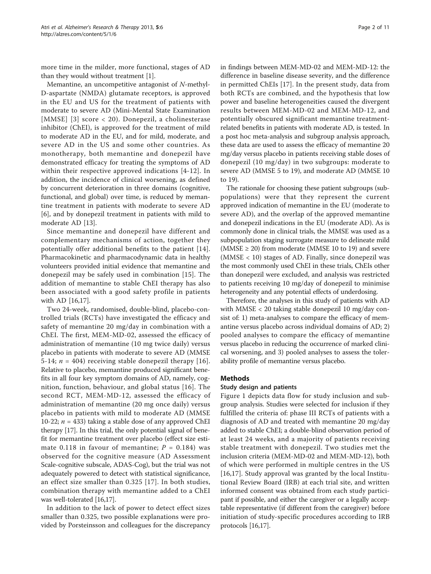more time in the milder, more functional, stages of AD than they would without treatment [[1\]](#page-9-0).

Memantine, an uncompetitive antagonist of N-methyl-D-aspartate (NMDA) glutamate receptors, is approved in the EU and US for the treatment of patients with moderate to severe AD (Mini-Mental State Examination [MMSE] [[3](#page-9-0)] score < 20). Donepezil, a cholinesterase inhibitor (ChEI), is approved for the treatment of mild to moderate AD in the EU, and for mild, moderate, and severe AD in the US and some other countries. As monotherapy, both memantine and donepezil have demonstrated efficacy for treating the symptoms of AD within their respective approved indications [\[4](#page-9-0)-[12](#page-10-0)]. In addition, the incidence of clinical worsening, as defined by concurrent deterioration in three domains (cognitive, functional, and global) over time, is reduced by memantine treatment in patients with moderate to severe AD [[6\]](#page-10-0), and by donepezil treatment in patients with mild to moderate AD [[13](#page-10-0)].

Since memantine and donepezil have different and complementary mechanisms of action, together they potentially offer additional benefits to the patient [[14](#page-10-0)]. Pharmacokinetic and pharmacodynamic data in healthy volunteers provided initial evidence that memantine and donepezil may be safely used in combination [[15](#page-10-0)]. The addition of memantine to stable ChEI therapy has also been associated with a good safety profile in patients with AD [\[16,17\]](#page-10-0).

Two 24-week, randomised, double-blind, placebo-controlled trials (RCTs) have investigated the efficacy and safety of memantine 20 mg/day in combination with a ChEI. The first, MEM-MD-02, assessed the efficacy of administration of memantine (10 mg twice daily) versus placebo in patients with moderate to severe AD (MMSE 5-14;  $n = 404$ ) receiving stable donepezil therapy [[16\]](#page-10-0). Relative to placebo, memantine produced significant benefits in all four key symptom domains of AD, namely, cognition, function, behaviour, and global status [[16](#page-10-0)]. The second RCT, MEM-MD-12, assessed the efficacy of administration of memantine (20 mg once daily) versus placebo in patients with mild to moderate AD (MMSE 10-22;  $n = 433$ ) taking a stable dose of any approved ChEI therapy [\[17\]](#page-10-0). In this trial, the only potential signal of benefit for memantine treatment over placebo (effect size estimate 0.118 in favour of memantine;  $P = 0.184$ ) was observed for the cognitive measure (AD Assessment Scale-cognitive subscale, ADAS-Cog), but the trial was not adequately powered to detect with statistical significance, an effect size smaller than 0.325 [\[17\]](#page-10-0). In both studies, combination therapy with memantine added to a ChEI was well-tolerated [\[16,17](#page-10-0)].

In addition to the lack of power to detect effect sizes smaller than 0.325, two possible explanations were provided by Porsteinsson and colleagues for the discrepancy in findings between MEM-MD-02 and MEM-MD-12: the difference in baseline disease severity, and the difference in permitted ChEIs [[17\]](#page-10-0). In the present study, data from both RCTs are combined, and the hypothesis that low power and baseline heterogeneities caused the divergent results between MEM-MD-02 and MEM-MD-12, and potentially obscured significant memantine treatmentrelated benefits in patients with moderate AD, is tested. In a post hoc meta-analysis and subgroup analysis approach, these data are used to assess the efficacy of memantine 20 mg/day versus placebo in patients receiving stable doses of donepezil (10 mg/day) in two subgroups: moderate to severe AD (MMSE 5 to 19), and moderate AD (MMSE 10 to 19).

The rationale for choosing these patient subgroups (subpopulations) were that they represent the current approved indication of memantine in the EU (moderate to severe AD), and the overlap of the approved memantine and donepezil indications in the EU (moderate AD). As is commonly done in clinical trials, the MMSE was used as a subpopulation staging surrogate measure to delineate mild (MMSE  $\geq$  20) from moderate (MMSE 10 to 19) and severe (MMSE < 10) stages of AD. Finally, since donepezil was the most commonly used ChEI in these trials, ChEIs other than donepezil were excluded, and analysis was restricted to patients receiving 10 mg/day of donepezil to minimise heterogeneity and any potential effects of underdosing.

Therefore, the analyses in this study of patients with AD with MMSE < 20 taking stable donepezil 10 mg/day consist of: 1) meta-analyses to compare the efficacy of memantine versus placebo across individual domains of AD; 2) pooled analyses to compare the efficacy of memantine versus placebo in reducing the occurrence of marked clinical worsening, and 3) pooled analyses to assess the tolerability profile of memantine versus placebo.

#### Methods

#### Study design and patients

Figure [1](#page-2-0) depicts data flow for study inclusion and subgroup analysis. Studies were selected for inclusion if they fulfilled the criteria of: phase III RCTs of patients with a diagnosis of AD and treated with memantine 20 mg/day added to stable ChEI; a double-blind observation period of at least 24 weeks, and a majority of patients receiving stable treatment with donepezil. Two studies met the inclusion criteria (MEM-MD-02 and MEM-MD-12), both of which were performed in multiple centres in the US [[16,17](#page-10-0)]. Study approval was granted by the local Institutional Review Board (IRB) at each trial site, and written informed consent was obtained from each study participant if possible, and either the caregiver or a legally acceptable representative (if different from the caregiver) before initiation of study-specific procedures according to IRB protocols [[16,17\]](#page-10-0).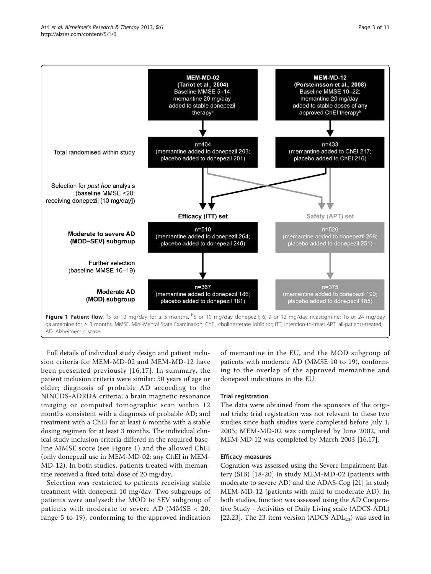<span id="page-2-0"></span>

Full details of individual study design and patient inclusion criteria for MEM-MD-02 and MEM-MD-12 have been presented previously [[16](#page-10-0),[17](#page-10-0)]. In summary, the patient inclusion criteria were similar: 50 years of age or older; diagnosis of probable AD according to the NINCDS-ADRDA criteria; a brain magnetic resonance imaging or computed tomographic scan within 12 months consistent with a diagnosis of probable AD; and treatment with a ChEI for at least 6 months with a stable dosing regimen for at least 3 months. The individual clinical study inclusion criteria differed in the required baseline MMSE score (see Figure 1) and the allowed ChEI (only donepezil use in MEM-MD-02; any ChEI in MEM-MD-12). In both studies, patients treated with memantine received a fixed total dose of 20 mg/day.

Selection was restricted to patients receiving stable treatment with donepezil 10 mg/day. Two subgroups of patients were analysed: the MOD to SEV subgroup of patients with moderate to severe AD (MMSE < 20, range 5 to 19), conforming to the approved indication

of memantine in the EU, and the MOD subgroup of patients with moderate AD (MMSE 10 to 19), conforming to the overlap of the approved memantine and donepezil indications in the EU.

#### Trial registration

The data were obtained from the sponsors of the original trials; trial registration was not relevant to these two studies since both studies were completed before July 1, 2005; MEM-MD-02 was completed by June 2002, and MEM-MD-12 was completed by March 2003 [\[16,17\]](#page-10-0).

#### Efficacy measures

Cognition was assessed using the Severe Impairment Battery (SIB) [[18-20\]](#page-10-0) in study MEM-MD-02 (patients with moderate to severe AD) and the ADAS-Cog [\[21\]](#page-10-0) in study MEM-MD-12 (patients with mild to moderate AD). In both studies, function was assessed using the AD Cooperative Study - Activities of Daily Living scale (ADCS-ADL) [[22,23\]](#page-10-0). The 23-item version (ADCS-ADL<sub>23</sub>) was used in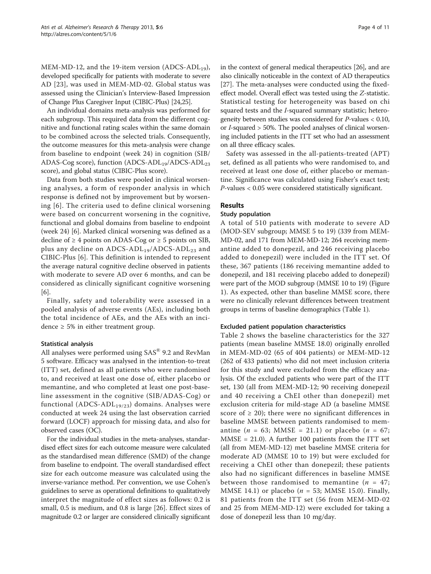MEM-MD-12, and the 19-item version (ADCS-AD $L_{19}$ ), developed specifically for patients with moderate to severe AD [[23](#page-10-0)], was used in MEM-MD-02. Global status was assessed using the Clinician's Interview-Based Impression of Change Plus Caregiver Input (CIBIC-Plus) [[24,25\]](#page-10-0).

An individual domains meta-analysis was performed for each subgroup. This required data from the different cognitive and functional rating scales within the same domain to be combined across the selected trials. Consequently, the outcome measures for this meta-analysis were change from baseline to endpoint (week 24) in cognition (SIB/ ADAS-Cog score), function (ADCS-ADL<sub>19</sub>/ADCS-ADL<sub>23</sub>) score), and global status (CIBIC-Plus score).

Data from both studies were pooled in clinical worsening analyses, a form of responder analysis in which response is defined not by improvement but by worsening [[6](#page-10-0)]. The criteria used to define clinical worsening were based on concurrent worsening in the cognitive, functional and global domains from baseline to endpoint (week 24) [[6\]](#page-10-0). Marked clinical worsening was defined as a decline of  $≥$  4 points on ADAS-Cog or  $≥$  5 points on SIB, plus any decline on ADCS-ADL $_{19}$ /ADCS-ADL $_{23}$  and CIBIC-Plus [[6\]](#page-10-0). This definition is intended to represent the average natural cognitive decline observed in patients with moderate to severe AD over 6 months, and can be considered as clinically significant cognitive worsening [[6\]](#page-10-0).

Finally, safety and tolerability were assessed in a pooled analysis of adverse events (AEs), including both the total incidence of AEs, and the AEs with an incidence  $\geq$  5% in either treatment group.

#### Statistical analysis

All analyses were performed using SAS® 9.2 and RevMan 5 software. Efficacy was analysed in the intention-to-treat (ITT) set, defined as all patients who were randomised to, and received at least one dose of, either placebo or memantine, and who completed at least one post-baseline assessment in the cognitive (SIB/ADAS-Cog) or functional (ADCS-AD $L_{19/23}$ ) domains. Analyses were conducted at week 24 using the last observation carried forward (LOCF) approach for missing data, and also for observed cases (OC).

For the individual studies in the meta-analyses, standardised effect sizes for each outcome measure were calculated as the standardised mean difference (SMD) of the change from baseline to endpoint. The overall standardised effect size for each outcome measure was calculated using the inverse-variance method. Per convention, we use Cohen's guidelines to serve as operational definitions to qualitatively interpret the magnitude of effect sizes as follows: 0.2 is small, 0.5 is medium, and 0.8 is large [[26\]](#page-10-0). Effect sizes of magnitude 0.2 or larger are considered clinically significant in the context of general medical therapeutics [[26](#page-10-0)], and are also clinically noticeable in the context of AD therapeutics [[27\]](#page-10-0). The meta-analyses were conducted using the fixedeffect model. Overall effect was tested using the Z-statistic. Statistical testing for heterogeneity was based on chi squared tests and the I-squared summary statistic; heterogeneity between studies was considered for P-values < 0.10, or I-squared > 50%. The pooled analyses of clinical worsening included patients in the ITT set who had an assessment on all three efficacy scales.

Safety was assessed in the all-patients-treated (APT) set, defined as all patients who were randomised to, and received at least one dose of, either placebo or memantine. Significance was calculated using Fisher's exact test; P-values < 0.05 were considered statistically significant.

# Results

#### Study population

A total of 510 patients with moderate to severe AD (MOD-SEV subgroup; MMSE 5 to 19) (339 from MEM-MD-02, and 171 from MEM-MD-12; 264 receiving memantine added to donepezil, and 246 receiving placebo added to donepezil) were included in the ITT set. Of these, 367 patients (186 receiving memantine added to donepezil, and 181 receiving placebo added to donepezil) were part of the MOD subgroup (MMSE 10 to 19) (Figure [1\)](#page-2-0). As expected, other than baseline MMSE score, there were no clinically relevant differences between treatment groups in terms of baseline demographics (Table [1](#page-4-0)).

#### Excluded patient population characteristics

Table [2](#page-5-0) shows the baseline characteristics for the 327 patients (mean baseline MMSE 18.0) originally enrolled in MEM-MD-02 (65 of 404 patients) or MEM-MD-12 (262 of 433 patients) who did not meet inclusion criteria for this study and were excluded from the efficacy analysis. Of the excluded patients who were part of the ITT set, 130 (all from MEM-MD-12; 90 receiving donepezil and 40 receiving a ChEI other than donepezil) met exclusion criteria for mild-stage AD (a baseline MMSE score of  $\geq$  20); there were no significant differences in baseline MMSE between patients randomised to memantine ( $n = 63$ ; MMSE = 21.1) or placebo ( $n = 67$ ; MMSE = 21.0). A further 100 patients from the ITT set (all from MEM-MD-12) met baseline MMSE criteria for moderate AD (MMSE 10 to 19) but were excluded for receiving a ChEI other than donepezil; these patients also had no significant differences in baseline MMSE between those randomised to memantine ( $n = 47$ ; MMSE 14.1) or placebo ( $n = 53$ ; MMSE 15.0). Finally, 81 patients from the ITT set (56 from MEM-MD-02 and 25 from MEM-MD-12) were excluded for taking a dose of donepezil less than 10 mg/day.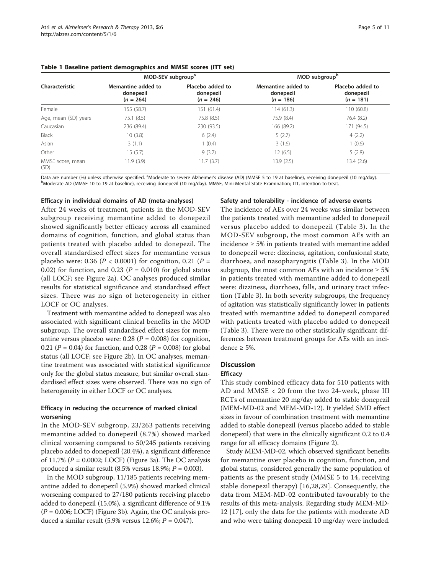| Characteristic           | MOD-SEV subgroup <sup>a</sup>                  |                                              | MOD subgroup <sup>b</sup>                      |                                              |  |
|--------------------------|------------------------------------------------|----------------------------------------------|------------------------------------------------|----------------------------------------------|--|
|                          | Memantine added to<br>donepezil<br>$(n = 264)$ | Placebo added to<br>donepezil<br>$(n = 246)$ | Memantine added to<br>donepezil<br>$(n = 186)$ | Placebo added to<br>donepezil<br>$(n = 181)$ |  |
| Female                   | 155 (58.7)                                     | 151 (61.4)                                   | 114(61.3)                                      | 110 (60.8)                                   |  |
| Age, mean (SD) years     | 75.1(8.5)                                      | 75.8 (8.5)                                   | 75.9 (8.4)                                     | 76.4(8.2)                                    |  |
| Caucasian                | 236 (89.4)                                     | 230 (93.5)                                   | 166 (89.2)                                     | 171 (94.5)                                   |  |
| <b>Black</b>             | 10(3.8)                                        | 6(2.4)                                       | 5(2.7)                                         | 4(2.2)                                       |  |
| Asian                    | 3(1.1)                                         | 1(0.4)                                       | 3(1.6)                                         | 1(0.6)                                       |  |
| Other                    | 15(5.7)                                        | 9(3.7)                                       | 12(6.5)                                        | 5(2.8)                                       |  |
| MMSE score, mean<br>(SD) | 11.9(3.9)                                      | 11.7(3.7)                                    | 13.9(2.5)                                      | 13.4(2.6)                                    |  |

<span id="page-4-0"></span>

|  |  |  | Table 1 Baseline patient demographics and MMSE scores (ITT set) |  |  |  |  |
|--|--|--|-----------------------------------------------------------------|--|--|--|--|
|--|--|--|-----------------------------------------------------------------|--|--|--|--|

Data are number (%) unless otherwise specified. <sup>a</sup>Moderate to severe Alzheimer's disease (AD) (MMSE 5 to 19 at baseline), receiving donepezil (10 mg/day).<br>PModerate AD (MMSE 10 to 19 at baseline), receiving donepezil (10 <sup>b</sup>Moderate AD (MMSE 10 to 19 at baseline), receiving donepezil (10 mg/day). MMSE, Mini-Mental State Examination; ITT, intention-to-treat.

#### Efficacy in individual domains of AD (meta-analyses)

After 24 weeks of treatment, patients in the MOD-SEV subgroup receiving memantine added to donepezil showed significantly better efficacy across all examined domains of cognition, function, and global status than patients treated with placebo added to donepezil. The overall standardised effect sizes for memantine versus placebo were: 0.36 ( $P < 0.0001$ ) for cognition, 0.21 ( $P =$ 0.02) for function, and 0.23 ( $P = 0.010$ ) for global status (all LOCF; see Figure [2a\)](#page-5-0). OC analyses produced similar results for statistical significance and standardised effect sizes. There was no sign of heterogeneity in either LOCF or OC analyses.

Treatment with memantine added to donepezil was also associated with significant clinical benefits in the MOD subgroup. The overall standardised effect sizes for memantine versus placebo were: 0.28 ( $P = 0.008$ ) for cognition, 0.21 ( $P = 0.04$ ) for function, and 0.28 ( $P = 0.008$ ) for global status (all LOCF; see Figure [2b](#page-5-0)). In OC analyses, memantine treatment was associated with statistical significance only for the global status measure, but similar overall standardised effect sizes were observed. There was no sign of heterogeneity in either LOCF or OC analyses.

#### Efficacy in reducing the occurrence of marked clinical worsening

In the MOD-SEV subgroup, 23/263 patients receiving memantine added to donepezil (8.7%) showed marked clinical worsening compared to 50/245 patients receiving placebo added to donepezil (20.4%), a significant difference of 11.7% ( $P = 0.0002$ ; LOCF) (Figure [3a\)](#page-6-0). The OC analysis produced a similar result (8.5% versus 18.9%;  $P = 0.003$ ).

In the MOD subgroup, 11/185 patients receiving memantine added to donepezil (5.9%) showed marked clinical worsening compared to 27/180 patients receiving placebo added to donepezil (15.0%), a significant difference of 9.1%  $(P = 0.006;$  LOCF) (Figure [3b\)](#page-6-0). Again, the OC analysis produced a similar result (5.9% versus 12.6%;  $P = 0.047$ ).

#### Safety and tolerability - incidence of adverse events

The incidence of AEs over 24 weeks was similar between the patients treated with memantine added to donepezil versus placebo added to donepezil (Table [3\)](#page-6-0). In the MOD-SEV subgroup, the most common AEs with an incidence ≥ 5% in patients treated with memantine added to donepezil were: dizziness, agitation, confusional state, diarrhoea, and nasopharyngitis (Table [3\)](#page-6-0). In the MOD subgroup, the most common AEs with an incidence  $\geq 5\%$ in patients treated with memantine added to donepezil were: dizziness, diarrhoea, falls, and urinary tract infection (Table [3](#page-6-0)). In both severity subgroups, the frequency of agitation was statistically significantly lower in patients treated with memantine added to donepezil compared with patients treated with placebo added to donepezil (Table [3](#page-6-0)). There were no other statistically significant differences between treatment groups for AEs with an incidence  $\geq$  5%.

#### **Discussion**

#### **Efficacy**

This study combined efficacy data for 510 patients with AD and MMSE < 20 from the two 24-week, phase III RCTs of memantine 20 mg/day added to stable donepezil (MEM-MD-02 and MEM-MD-12). It yielded SMD effect sizes in favour of combination treatment with memantine added to stable donepezil (versus placebo added to stable donepezil) that were in the clinically significant 0.2 to 0.4 range for all efficacy domains (Figure [2\)](#page-5-0).

Study MEM-MD-02, which observed significant benefits for memantine over placebo in cognition, function, and global status, considered generally the same population of patients as the present study (MMSE 5 to 14, receiving stable donepezil therapy) [[16,28,29](#page-10-0)]. Consequently, the data from MEM-MD-02 contributed favourably to the results of this meta-analysis. Regarding study MEM-MD-12 [[17\]](#page-10-0), only the data for the patients with moderate AD and who were taking donepezil 10 mg/day were included.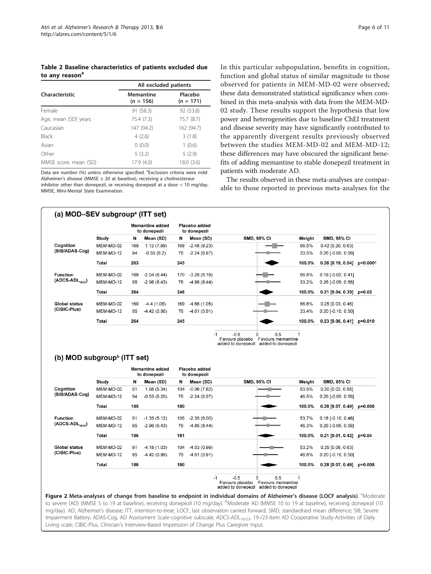<span id="page-5-0"></span>Table 2 Baseline characteristics of patients excluded due to any reason<sup>a</sup>

|                       |                                 | All excluded patients  |  |  |  |
|-----------------------|---------------------------------|------------------------|--|--|--|
| Characteristic        | <b>Memantine</b><br>$(n = 156)$ | Placebo<br>$(n = 171)$ |  |  |  |
| Female                | 91 (58.3)                       | 92 (53.8)              |  |  |  |
| Age, mean (SD) years  | 75.4 (7.3)                      | 75.7 (8.7)             |  |  |  |
| Caucasian             | 147 (94.2)                      | 162 (94.7)             |  |  |  |
| Black                 | 4(2.6)                          | 3(1.8)                 |  |  |  |
| Asian                 | 0(0.0)                          | 1(0.6)                 |  |  |  |
| Other                 | 5(3.2)                          | 5(2.9)                 |  |  |  |
| MMSE score, mean (SD) | 17.9 (4.0)                      | 18.0(3.6)              |  |  |  |

Data are number (%) unless otherwise specified. <sup>a</sup>Exclusion criteria were mild Alzheimer's disease (MMSE ≥ 20 at baseline), receiving a cholinesterase inhibitor other than donepezil, or receiving donepezil at a dose < 10 mg/day. MMSE, Mini-Mental State Examination.

In this particular subpopulation, benefits in cognition, function and global status of similar magnitude to those observed for patients in MEM-MD-02 were observed; these data demonstrated statistical significance when combined in this meta-analysis with data from the MEM-MD-02 study. These results support the hypothesis that low power and heterogeneities due to baseline ChEI treatment and disease severity may have significantly contributed to the apparently divergent results previously observed between the studies MEM-MD-02 and MEM-MD-12; these differences may have obscured the significant benefits of adding memantine to stable donepezil treatment in patients with moderate AD.

The results observed in these meta-analyses are comparable to those reported in previous meta-analyses for the

|                                                |              |     | <b>Memantine added</b><br>to donepezil |     | Placebo added<br>to donepezil |                                                                    |                                      |        |                             |          |
|------------------------------------------------|--------------|-----|----------------------------------------|-----|-------------------------------|--------------------------------------------------------------------|--------------------------------------|--------|-----------------------------|----------|
|                                                | Study        | N   | Mean (SD)                              | N   | Mean (SD)                     |                                                                    | <b>SMD, 95% CI</b>                   | Weight | <b>SMD, 95% CI</b>          |          |
| Cognition                                      | MEM-MD-02    | 169 | 1.12(7.89)                             | 169 | $-2.48(9.23)$                 |                                                                    |                                      | 66.5%  | 0.42 [0.20, 0.63]           |          |
| (SIB/ADAS-Cog)                                 | MEM-MD-12    | 94  | $-0.55(6.2)$                           | 76  | $-2.24(6.97)$                 |                                                                    |                                      | 33.5%  | $0.26$ [-0.05, 0.56]        |          |
|                                                | Total        | 263 |                                        | 245 |                               |                                                                    |                                      | 100.0% | $0.36$ [0.19, 0.54]         | p<0.0001 |
| <b>Function</b>                                | MEM-MD-02    | 169 | $-2.04(6.44)$                          | 170 | $-3.26(6.19)$                 |                                                                    |                                      | 66.8%  | $0.19$ [-0.02, 0.41]        |          |
| $(ADCS-ADL19/23)$                              | MEM-MD-12    | 95  | $-2.96(6.43)$                          | 76  | $-4.86(8.44)$                 |                                                                    |                                      | 33.2%  | $0.26$ [-0.05, 0.56]        |          |
|                                                | <b>Total</b> | 264 |                                        | 246 |                               |                                                                    |                                      | 100.0% | $0.21$ [0.04, 0.39]         | p=0.02   |
| <b>Global status</b>                           | MEM-MD-02    | 169 | $-4.4(1.06)$                           | 169 | $-4.66(1.05)$                 |                                                                    |                                      | 66.6%  | $0.25$ [0.03, 0.46]         |          |
| (CIBIC-Plus)                                   | MEM-MD-12    | 95  | $-4.42(0.96)$                          | 76  | $-4.61(0.91)$                 |                                                                    |                                      | 33.4%  | $0.20$ [-0.10, 0.50]        |          |
|                                                | <b>Total</b> | 264 |                                        | 245 |                               |                                                                    |                                      | 100.0% | $0.23$ [0.06, 0.41] p=0.010 |          |
|                                                |              |     |                                        |     | $-1$                          | $-0.5$<br>Favours placebo<br>added to donepezil added to donepezil | 0.5<br>$\Omega$<br>Favours memantine | 1      |                             |          |
| (b) MOD subgroup <sup>b</sup> (ITT set)        |              |     | <b>Memantine added</b>                 |     | Placebo added                 |                                                                    |                                      |        |                             |          |
|                                                | Study        | N   | to donepezil<br>Mean (SD)              | N   | to donepezil<br>Mean (SD)     |                                                                    | <b>SMD, 95% CI</b>                   | Weight | <b>SMD, 95% CI</b>          |          |
|                                                | MEM-MD-02    | 91  | 1.98(5.34)                             | 104 | $-0.06(7.82)$                 |                                                                    |                                      | 53.5%  | 0.30 [0.02, 0.58]           |          |
|                                                | MEM-MD-12    | 94  | $-0.55(6.20)$                          | 76  | $-2.24(6.97)$                 |                                                                    |                                      | 46.5%  | $0.26$ [-0.05, 0.56]        |          |
|                                                | Total        | 185 |                                        | 180 |                               |                                                                    |                                      | 100.0% | $0.28$ [0.07, 0.49]         | p=0.008  |
| Cognition<br>(SIB/ADAS-Cog)<br><b>Function</b> | MEM-MD-02    | 91  | $-1.35(5.12)$                          | 105 | $-2.35(6.00)$                 |                                                                    |                                      | 53.7%  | $0.18$ [-0.10, 0.46]        |          |
| $(ADCS-ADL19/23)$                              | MEM-MD-12    | 95  | $-2.96(6.43)$                          | 76  | $-4.86(8.44)$                 |                                                                    |                                      | 46.3%  | $0.26$ [-0.05, 0.56]        |          |
|                                                | Total        | 186 |                                        | 181 |                               |                                                                    |                                      | 100.0% | $0.21$ [0.01, 0.42] p=0.04  |          |
| <b>Global status</b>                           | MEM-MD-02    | 91  | $-4.18(1.03)$                          | 104 | $-4.53(0.99)$                 |                                                                    |                                      | 53.2%  | $0.35$ [0.06, 0.63]         |          |
| (CIBIC-Plus)                                   | MEM-MD-12    | 95  | $-4.42(0.96)$                          | 76  | $-4.61(0.91)$                 |                                                                    |                                      | 46.8%  | $0.20$ [-0.10, 0.50]        |          |

-1 -0.5 0 0.5 1<br>Favours placebo Favours memantine<br>added to donepezil added to donepezil

Figure 2 Meta-analyses of change from baseline to endpoint in individual domains of Alzheimer's disease (LOCF analysis). <sup>a</sup>Moderate to severe (AD) (MMSE 5 to 19 at baseline), receiving donepezil (10 mg/day). <sup>b</sup>Moderate AD (MMSE 10 to 19 at baseline), receiving donepezil (10 mg/day). AD, Alzheimer's disease; ITT, intention-to-treat; LOCF, last observation carried forward; SMD, standardised mean difference; SIB, Severe Impairment Battery; ADAS-Cog, AD Assessment Scale-cognitive subscale; ADCS-ADL<sub>19/23</sub>, 19-/23-item AD Cooperative Study-Activities of Daily Living scale; CIBIC-Plus, Clinician's Interview-Based Impression of Change Plus Caregiver Input.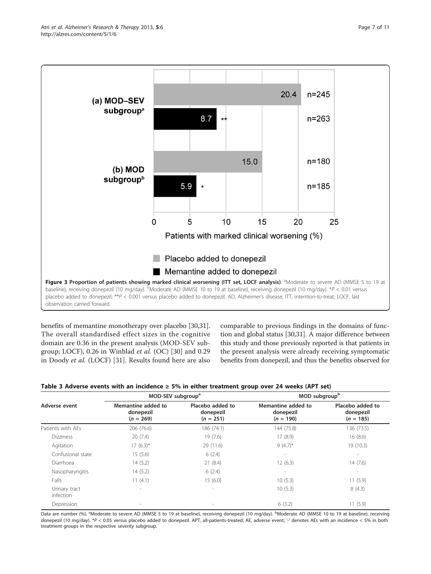<span id="page-6-0"></span>

benefits of memantine monotherapy over placebo [[30](#page-10-0),[31](#page-10-0)]. The overall standardised effect sizes in the cognitive domain are 0.36 in the present analysis (MOD-SEV subgroup; LOCF), 0.26 in Winblad et al. (OC) [\[30](#page-10-0)] and 0.29 in Doody et al. (LOCF) [[31\]](#page-10-0). Results found here are also comparable to previous findings in the domains of function and global status [\[30,31\]](#page-10-0). A major difference between this study and those previously reported is that patients in the present analysis were already receiving symptomatic benefits from donepezil, and thus the benefits observed for

|  |  |  | Table 3 Adverse events with an incidence $\geq$ 5% in either treatment group over 24 weeks (APT set) |
|--|--|--|------------------------------------------------------------------------------------------------------|
|--|--|--|------------------------------------------------------------------------------------------------------|

|                            | MOD-SEV subgroup <sup>a</sup>                  |                                              | MOD subgroup <sup>b</sup>                      |                                              |  |
|----------------------------|------------------------------------------------|----------------------------------------------|------------------------------------------------|----------------------------------------------|--|
| Adverse event              | Memantine added to<br>donepezil<br>$(n = 269)$ | Placebo added to<br>donepezil<br>$(n = 251)$ | Memantine added to<br>donepezil<br>$(n = 190)$ | Placebo added to<br>donepezil<br>$(n = 185)$ |  |
| Patients with AFs          | 206 (76.6)                                     | 186 (74.1)                                   | 144 (75.8)                                     | 136 (73.5)                                   |  |
| <b>Dizziness</b>           | 20(7.4)                                        | 19(7.6)                                      | 17(8.9)                                        | 16(8.6)                                      |  |
| Agitation                  | $17(6.3)^{*}$                                  | 29 (11.6)                                    | $9(4.7)^{*}$                                   | 19 (10.3)                                    |  |
| Confusional state          | 15(5.6)                                        | 6(2.4)                                       | $\overline{\phantom{a}}$                       | $\overline{\phantom{a}}$                     |  |
| Diarrhoea                  | 14(5.2)                                        | 21(8.4)                                      | 12(6.3)                                        | 14(7.6)                                      |  |
| Nasopharyngitis            | 14(5.2)                                        | 6(2.4)                                       | $\overline{\phantom{a}}$                       | $\overline{\phantom{a}}$                     |  |
| Falls                      | 11(4.1)                                        | 15(6.0)                                      | 10(5.3)                                        | 11(5.9)                                      |  |
| Urinary tract<br>infection | $\overline{\phantom{a}}$                       | $\sim$                                       | 10(5.3)                                        | 8(4.3)                                       |  |
| Depression                 |                                                |                                              | 6(3.2)                                         | 11(5.9)                                      |  |

Data are number (%). <sup>a</sup>Moderate to severe AD (MMSE 5 to 19 at baseline), receiving donepezil (10 mg/day). <sup>b</sup>Moderate AD (MMSE 10 to 19 at baseline), receiving donepezil (10 mg/day). \*P < 0.05 versus placebo added to donepezil. APT, all-patients-treated; AE, adverse event; '-' denotes AEs with an incidence < 5% in both treatment groups in the respective severity subgroup.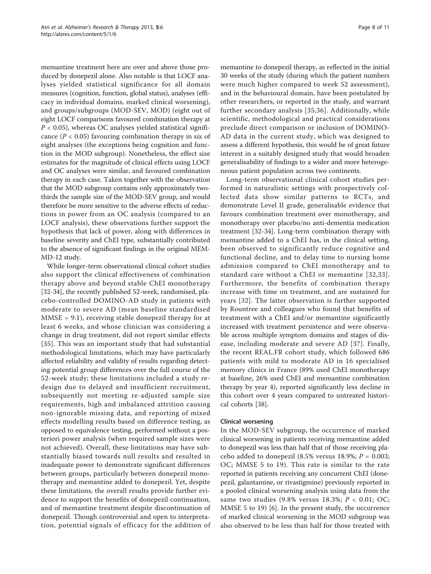memantine treatment here are over and above those produced by donepezil alone. Also notable is that LOCF analyses yielded statistical significance for all domain measures (cognition, function, global status), analyses (efficacy in individual domains, marked clinical worsening), and groups/subgroups (MOD-SEV, MOD) (eight out of eight LOCF comparisons favoured combination therapy at  $P < 0.05$ ), whereas OC analyses yielded statistical significance ( $P < 0.05$ ) favouring combination therapy in six of eight analyses (the exceptions being cognition and function in the MOD subgroup). Nonetheless, the effect size estimates for the magnitude of clinical effects using LOCF and OC analyses were similar, and favoured combination therapy in each case. Taken together with the observation that the MOD subgroup contains only approximately twothirds the sample size of the MOD-SEV group, and would therefore be more sensitive to the adverse effects of reductions in power from an OC analysis (compared to an LOCF analysis), these observations further support the hypothesis that lack of power, along with differences in baseline severity and ChEI type, substantially contributed to the absence of significant findings in the original MEM-MD-12 study.

While longer-term observational clinical cohort studies also support the clinical effectiveness of combination therapy above and beyond stable ChEI monotherapy [[32-34\]](#page-10-0), the recently published 52-week, randomised, placebo-controlled DOMINO-AD study in patients with moderate to severe AD (mean baseline standardised MMSE = 9.1), receiving stable donepezil therapy for at least 6 weeks, and whose clinician was considering a change in drug treatment, did not report similar effects [[35](#page-10-0)]. This was an important study that had substantial methodological limitations, which may have particularly affected reliability and validity of results regarding detecting potential group differences over the full course of the 52-week study; these limitations included a study redesign due to delayed and insufficient recruitment, subsequently not meeting re-adjusted sample size requirements, high and imbalanced attrition causing non-ignorable missing data, and reporting of mixed effects modelling results based on difference testing, as opposed to equivalence testing, performed without a posteriori power analysis (when required sample sizes were not achieved). Overall, these limitations may have substantially biased towards null results and resulted in inadequate power to demonstrate significant differences between groups, particularly between donepezil monotherapy and memantine added to donepezil. Yet, despite these limitations, the overall results provide further evidence to support the benefits of donepezil continuation, and of memantine treatment despite discontinuation of donepezil. Though controversial and open to interpretation, potential signals of efficacy for the addition of memantine to donepezil therapy, as reflected in the initial 30 weeks of the study (during which the patient numbers were much higher compared to week 52 assessment), and in the behavioural domain, have been postulated by other researchers, or reported in the study, and warrant further secondary analysis [[35,36\]](#page-10-0). Additionally, while scientific, methodological and practical considerations preclude direct comparison or inclusion of DOMINO-AD data in the current study, which was designed to assess a different hypothesis, this would be of great future interest in a suitably designed study that would broaden generalisability of findings to a wider and more heterogeneous patient population across two continents.

Long-term observational clinical cohort studies performed in naturalistic settings with prospectively collected data show similar patterns to RCTs, and demonstrate Level II grade, generalisable evidence that favours combination treatment over monotherapy, and monotherapy over placebo/no anti-dementia medication treatment [[32-34\]](#page-10-0). Long-term combination therapy with memantine added to a ChEI has, in the clinical setting, been observed to significantly reduce cognitive and functional decline, and to delay time to nursing home admission compared to ChEI monotherapy and to standard care without a ChEI or memantine [[32,33\]](#page-10-0). Furthermore, the benefits of combination therapy increase with time on treatment, and are sustained for years [\[32\]](#page-10-0). The latter observation is further supported by Rountree and colleagues who found that benefits of treatment with a ChEI and/or memantine significantly increased with treatment persistence and were observable across multiple symptom domains and stages of disease, including moderate and severe AD [[37](#page-10-0)]. Finally, the recent REAL.FR cohort study, which followed 686 patients with mild to moderate AD in 16 specialised memory clinics in France (89% used ChEI monotherapy at baseline, 26% used ChEI and memantine combination therapy by year 4), reported significantly less decline in this cohort over 4 years compared to untreated historical cohorts [\[38\]](#page-10-0).

#### Clinical worsening

In the MOD-SEV subgroup, the occurrence of marked clinical worsening in patients receiving memantine added to donepezil was less than half that of those receiving placebo added to donepezil (8.5% versus 18.9%;  $P = 0.003$ ; OC; MMSE 5 to 19). This rate is similar to the rate reported in patients receiving any concurrent ChEI (donepezil, galantamine, or rivastigmine) previously reported in a pooled clinical worsening analysis using data from the same two studies (9.8% versus 18.3%;  $P < 0.01$ ; OC; MMSE 5 to 19) [\[6](#page-10-0)]. In the present study, the occurrence of marked clinical worsening in the MOD subgroup was also observed to be less than half for those treated with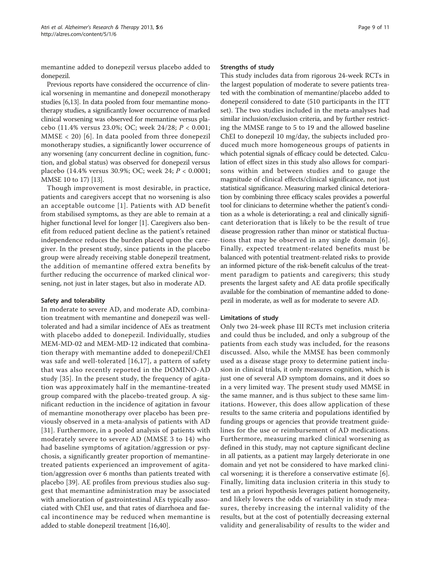memantine added to donepezil versus placebo added to donepezil.

Previous reports have considered the occurrence of clinical worsening in memantine and donepezil monotherapy studies [[6,13](#page-10-0)]. In data pooled from four memantine monotherapy studies, a significantly lower occurrence of marked clinical worsening was observed for memantine versus placebo (11.4% versus 23.0%; OC; week 24/28; P < 0.001; MMSE < 20) [[6](#page-10-0)]. In data pooled from three donepezil monotherapy studies, a significantly lower occurrence of any worsening (any concurrent decline in cognition, function, and global status) was observed for donepezil versus placebo (14.4% versus 30.9%; OC; week 24; P < 0.0001; MMSE 10 to 17) [\[13\]](#page-10-0).

Though improvement is most desirable, in practice, patients and caregivers accept that no worsening is also an acceptable outcome [[1\]](#page-9-0). Patients with AD benefit from stabilised symptoms, as they are able to remain at a higher functional level for longer [[1\]](#page-9-0). Caregivers also benefit from reduced patient decline as the patient's retained independence reduces the burden placed upon the caregiver. In the present study, since patients in the placebo group were already receiving stable donepezil treatment, the addition of memantine offered extra benefits by further reducing the occurrence of marked clinical worsening, not just in later stages, but also in moderate AD.

#### Safety and tolerability

In moderate to severe AD, and moderate AD, combination treatment with memantine and donepezil was welltolerated and had a similar incidence of AEs as treatment with placebo added to donepezil. Individually, studies MEM-MD-02 and MEM-MD-12 indicated that combination therapy with memantine added to donepezil/ChEI was safe and well-tolerated [\[16,17\]](#page-10-0), a pattern of safety that was also recently reported in the DOMINO-AD study [[35\]](#page-10-0). In the present study, the frequency of agitation was approximately half in the memantine-treated group compared with the placebo-treated group. A significant reduction in the incidence of agitation in favour of memantine monotherapy over placebo has been previously observed in a meta-analysis of patients with AD [[31](#page-10-0)]. Furthermore, in a pooled analysis of patients with moderately severe to severe AD (MMSE 3 to 14) who had baseline symptoms of agitation/aggression or psychosis, a significantly greater proportion of memantinetreated patients experienced an improvement of agitation/aggression over 6 months than patients treated with placebo [\[39](#page-10-0)]. AE profiles from previous studies also suggest that memantine administration may be associated with amelioration of gastrointestinal AEs typically associated with ChEI use, and that rates of diarrhoea and faecal incontinence may be reduced when memantine is added to stable donepezil treatment [\[16,40\]](#page-10-0).

#### Strengths of study

This study includes data from rigorous 24-week RCTs in the largest population of moderate to severe patients treated with the combination of memantine/placebo added to donepezil considered to date (510 participants in the ITT set). The two studies included in the meta-analyses had similar inclusion/exclusion criteria, and by further restricting the MMSE range to 5 to 19 and the allowed baseline ChEI to donepezil 10 mg/day, the subjects included produced much more homogeneous groups of patients in which potential signals of efficacy could be detected. Calculation of effect sizes in this study also allows for comparisons within and between studies and to gauge the magnitude of clinical effects/clinical significance, not just statistical significance. Measuring marked clinical deterioration by combining three efficacy scales provides a powerful tool for clinicians to determine whether the patient's condition as a whole is deteriorating; a real and clinically significant deterioration that is likely to be the result of true disease progression rather than minor or statistical fluctuations that may be observed in any single domain [[6](#page-10-0)]. Finally, expected treatment-related benefits must be balanced with potential treatment-related risks to provide an informed picture of the risk-benefit calculus of the treatment paradigm to patients and caregivers; this study presents the largest safety and AE data profile specifically available for the combination of memantine added to donepezil in moderate, as well as for moderate to severe AD.

#### Limitations of study

Only two 24-week phase III RCTs met inclusion criteria and could thus be included, and only a subgroup of the patients from each study was included, for the reasons discussed. Also, while the MMSE has been commonly used as a disease stage proxy to determine patient inclusion in clinical trials, it only measures cognition, which is just one of several AD symptom domains, and it does so in a very limited way. The present study used MMSE in the same manner, and is thus subject to these same limitations. However, this does allow application of these results to the same criteria and populations identified by funding groups or agencies that provide treatment guidelines for the use or reimbursement of AD medications. Furthermore, measuring marked clinical worsening as defined in this study, may not capture significant decline in all patients, as a patient may largely deteriorate in one domain and yet not be considered to have marked clinical worsening; it is therefore a conservative estimate [\[6](#page-10-0)]. Finally, limiting data inclusion criteria in this study to test an a priori hypothesis leverages patient homogeneity, and likely lowers the odds of variability in study measures, thereby increasing the internal validity of the results, but at the cost of potentially decreasing external validity and generalisability of results to the wider and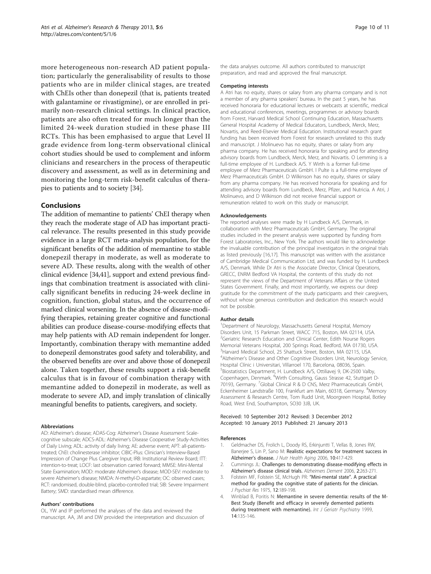<span id="page-9-0"></span>more heterogeneous non-research AD patient population; particularly the generalisability of results to those patients who are in milder clinical stages, are treated with ChEIs other than donepezil (that is, patients treated with galantamine or rivastigmine), or are enrolled in primarily non-research clinical settings. In clinical practice, patients are also often treated for much longer than the limited 24-week duration studied in these phase III RCTs. This has been emphasised to argue that Level II grade evidence from long-term observational clinical cohort studies should be used to complement and inform clinicians and researchers in the process of therapeutic discovery and assessment, as well as in determining and monitoring the long-term risk-benefit calculus of therapies to patients and to society [\[34\]](#page-10-0).

### Conclusions

The addition of memantine to patients' ChEI therapy when they reach the moderate stage of AD has important practical relevance. The results presented in this study provide evidence in a large RCT meta-analysis population, for the significant benefits of the addition of memantine to stable donepezil therapy in moderate, as well as moderate to severe AD. These results, along with the wealth of other clinical evidence [\[34,41\]](#page-10-0), support and extend previous findings that combination treatment is associated with clinically significant benefits in reducing 24-week decline in cognition, function, global status, and the occurrence of marked clinical worsening. In the absence of disease-modifying therapies, retaining greater cognitive and functional abilities can produce disease-course-modifying effects that may help patients with AD remain independent for longer. Importantly, combination therapy with memantine added to donepezil demonstrates good safety and tolerability, and the observed benefits are over and above those of donepezil alone. Taken together, these results support a risk-benefit calculus that is in favour of combination therapy with memantine added to donepezil in moderate, as well as moderate to severe AD, and imply translation of clinically meaningful benefits to patients, caregivers, and society.

#### Abbreviations

AD: Alzheimer's disease; ADAS-Cog: Alzheimer's Disease Assessment Scalecognitive subscale; ADCS-ADL: Alzheimer's Disease Cooperative Study-Activities of Daily Living; ADL: activity of daily living; AE: adverse event; APT: all-patientstreated; ChEI: cholinesterase inhibitor; CIBIC-Plus: Clinician's Interview-Based Impression of Change Plus Caregiver Input; IRB: Institutional Review Board; ITT: intention-to-treat; LOCF: last observation carried forward; MMSE: Mini-Mental State Examination; MOD: moderate Alzheimer's disease; MOD-SEV: moderate to severe Alzheimer's disease; NMDA: N-methyl-D-aspartate; OC: observed cases; RCT: randomised, double-blind, placebo-controlled trial; SIB: Severe Impairment Battery; SMD: standardised mean difference.

#### Authors' contributions

OL, YW and IP performed the analyses of the data and reviewed the manuscript. AA, JM and DW provided the interpretation and discussion of the data analyses outcome. All authors contributed to manuscript preparation, and read and approved the final manuscript.

#### Competing interests

A Atri has no equity, shares or salary from any pharma company and is not a member of any pharma speakers' bureau. In the past 5 years, he has received honoraria for educational lectures or webcasts at scientific, medical and educational conferences, meetings, programmes or advisory boards from Forest, Harvard Medical School Continuing Education, Massachusetts General Hospital Academy of Medical Educators, Lundbeck, Merck, Merz, Novartis, and Reed-Elsevier Medical Education. Institutional research grant funding has been received from Forest for research unrelated to this study and manuscript. J Molinuevo has no equity, shares or salary from any pharma company. He has received honoraria for speaking and for attending advisory boards from Lundbeck, Merck, Merz, and Novartis. O Lemming is a full-time employee of H. Lundbeck A/S. Y Wirth is a former full-time employee of Merz Pharmaceuticals GmbH. I Pulte is a full-time employee of Merz Pharmaceuticals GmbH. D Wilkinson has no equity, shares or salary from any pharma company. He has received honoraria for speaking and for attending advisory boards from Lundbeck, Merz, Pfizer, and Nutricia. A Atri, J Molinuevo, and D Wilkinson did not receive financial support or remuneration related to work on this study or manuscript.

#### Acknowledgements

The reported analyses were made by H Lundbeck A/S, Denmark, in collaboration with Merz Pharmaceuticals GmbH, Germany. The original studies included in the present analysis were supported by funding from Forest Laboratories, Inc., New York. The authors would like to acknowledge the invaluable contribution of the principal investigators in the original trials as listed previously [\[16](#page-10-0),[17\]](#page-10-0). This manuscript was written with the assistance of Cambridge Medical Communication Ltd, and was funded by H. Lundbeck A/S, Denmark. While Dr Atri is the Associate Director, Clinical Operations, GRECC, ENRM Bedford VA Hospital, the contents of this study do not represent the views of the Department of Veterans Affairs or the United States Government. Finally, and most importantly, we express our deep gratitude for the commitment of the study participants and their caregivers, without whose generous contribution and dedication this research would not be possible.

#### Author details

<sup>1</sup>Department of Neurology, Massachusetts General Hospital, Memory Disorders Unit, 15 Parkman Street, WACC 715, Boston, MA 02114, USA. <sup>2</sup>Geriatric Research Education and Clinical Center, Edith Nourse Rogers Memorial Veterans Hospital, 200 Springs Road, Bedford, MA 01730, USA. 3 Harvard Medical School, 25 Shattuck Street, Boston, MA 02115, USA. 4 Alzheimer's Disease and Other Cognitive Disorders Unit, Neurology Service, Hospital Clínic i Universitari, Villarroel 170, Barcelona, 08036, Spain. 5 Biostatistics Department, H. Lundbeck A/S, Ottiliavej 9, DK-2500 Valby, Copenhagen, Denmark. <sup>6</sup>Wirth Consulting, Gauss Strasse 42, Stuttgart D-70193, Germany. <sup>7</sup>Global Clinical R & D CNS, Merz Pharmaceuticals GmbH Eckenheimer Landstraße 100, Frankfurt am Main, 60318, Germany. <sup>8</sup>Memory Assessment & Research Centre, Tom Rudd Unit, Moorgreen Hospital, Botley Road, West End, Southampton, SO30 3JB, UK.

#### Received: 10 September 2012 Revised: 3 December 2012 Accepted: 10 January 2013 Published: 21 January 2013

#### References

- 1. Geldmacher DS, Frolich L, Doody RS, Erkinjuntti T, Vellas B, Jones RW, Banerjee S, Lin P, Sano M: [Realistic expectations for treatment success in](http://www.ncbi.nlm.nih.gov/pubmed/17066215?dopt=Abstract) [Alzheimer](http://www.ncbi.nlm.nih.gov/pubmed/17066215?dopt=Abstract)'s disease. J Nutr Health Aging 2006, 10:417-429.
- 2. Cummings JL: [Challenges to demonstrating disease-modifying effects in](http://www.ncbi.nlm.nih.gov/pubmed/19595897?dopt=Abstract) Alzheimer'[s disease clinical trials.](http://www.ncbi.nlm.nih.gov/pubmed/19595897?dopt=Abstract) Alzheimers Dement 2006, 2:263-271.
- 3. Folstein MF, Folstein SE, McHugh PR: "[Mini-mental state](http://www.ncbi.nlm.nih.gov/pubmed/1202204?dopt=Abstract)". A practical [method for grading the cognitive state of patients for the clinician.](http://www.ncbi.nlm.nih.gov/pubmed/1202204?dopt=Abstract) J Psychiat Res 1975, 12:189-198.
- Winblad B, Poritis N: [Memantine in severe dementia: results of the M-](http://www.ncbi.nlm.nih.gov/pubmed/10885864?dopt=Abstract)[Best Study \(Benefit and efficacy in severely demented patients](http://www.ncbi.nlm.nih.gov/pubmed/10885864?dopt=Abstract) [during treatment with memantine\).](http://www.ncbi.nlm.nih.gov/pubmed/10885864?dopt=Abstract) Int J Geriatr Psychiatry 1999, 14:135-146.